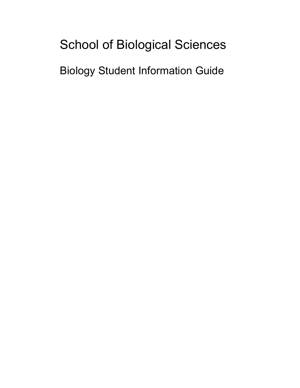# School of Biological Sciences

Biology Student Information Guide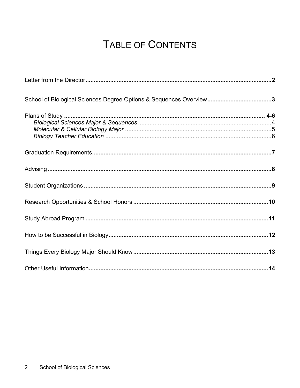## TABLE OF CONTENTS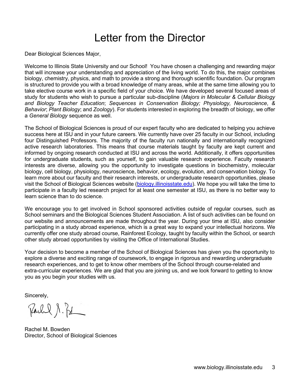## Letter from the Director

Dear Biological Sciences Major,

Welcome to Illinois State University and our School! You have chosen a challenging and rewarding major that will increase your understanding and appreciation of the living world. To do this, the major combines biology, chemistry, physics, and math to provide a strong and thorough scientific foundation. Our program is structured to provide you with a broad knowledge of many areas, while at the same time allowing you to take elective course work in a specific field of your choice. We have developed several focused areas of study for students who wish to pursue a particular sub-discipline (*Majors in Molecular & Cellular Biology and Biology Teacher Education*; *Sequences in Conservation Biology; Physiology, Neuroscience*, *& Behavior*; *Plant Biology*; and *Zoology*). For students interested in exploring the breadth of biology, we offer a *General Biology* sequence as well.

The School of Biological Sciences is proud of our expert faculty who are dedicated to helping you achieve success here at ISU and in your future careers. We currently have over 25 faculty in our School, including four Distinguished Professors. The majority of the faculty run nationally and internationally recognized active research laboratories. This means that course materials taught by faculty are kept current and informed by ongoing research conducted at ISU and across the world. Additionally, it offers opportunities for undergraduate students, such as yourself, to gain valuable research experience. Faculty research interests are diverse, allowing you the opportunity to investigate questions in biochemistry, molecular biology, cell biology, physiology, neuroscience, behavior, ecology, evolution, and conservation biology. To learn more about our faculty and their research interests, or undergraduate research opportunities, please visit the School of Biological Sciences website [\(biology.illinoisstate.edu\)](http://www.biology.illinoisstate.edu/). We hope you will take the time to participate in a faculty led research project for at least one semester at ISU, as there is no better way to learn science than to do science.

We encourage you to get involved in School sponsored activities outside of regular courses, such as School seminars and the Biological Sciences Student Association. A list of such activities can be found on our website and announcements are made throughout the year. During your time at ISU, also consider participating in a study abroad experience, which is a great way to expand your intellectual horizons. We currently offer one study abroad course, Rainforest Ecology, taught by faculty within the School, or search other study abroad opportunities by visiting the Office of International Studies.

Your decision to become a member of the School of Biological Sciences has given you the opportunity to explore a diverse and exciting range of coursework, to engage in rigorous and rewarding undergraduate research experiences, and to get to know other members of the School through course-related and extra-curricular experiences. We are glad that you are joining us, and we look forward to getting to know you as you begin your studies with us.

Sincerely,

Parl & S. Pol

Rachel M. Bowden Director, School of Biological Sciences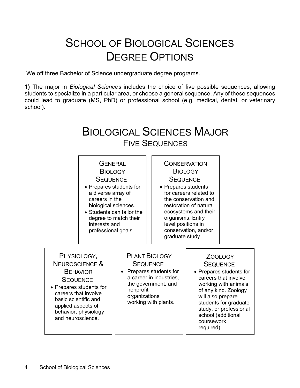# SCHOOL OF BIOLOGICAL SCIENCES DEGREE OPTIONS

We off three Bachelor of Science undergraduate degree programs.

**1)** The major in *Biological Sciences* includes the choice of five possible sequences, allowing students to specialize in a particular area, or choose a general sequence. Any of these sequences could lead to graduate (MS, PhD) or professional school (e.g. medical, dental, or veterinary school).

## BIOLOGICAL SCIENCES MAJOR FIVE SEQUENCES

#### **GENERAL BIOLOGY SEQUENCE**

- Prepares students for a diverse array of careers in the
- biological sciences. • Students can tailor the degree to match their interests and professional goals.

#### **CONSERVATION BIOLOGY SEQUENCE**

• Prepares students for careers related to the conservation and restoration of natural ecosystems and their organisms. Entry level positions in conservation, and/or graduate study.

PHYSIOLOGY, NEUROSCIENCE & **BEHAVIOR SEQUENCE** 

• Prepares students for careers that involve basic scientific and applied aspects of behavior, physiology and neuroscience.

#### PLANT BIOLOGY **SEQUENCE**

• Prepares students for a career in industries, the government, and nonprofit organizations working with plants.

## ZOOLOGY

- **SEQUENCE**
- Prepares students for careers that involve working with animals of any kind. Zoology will also prepare students for graduate study, or professional school (additional coursework required).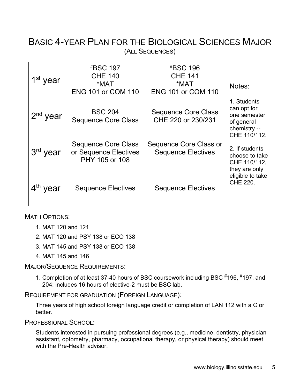### BASIC 4-YEAR PLAN FOR THE BIOLOGICAL SCIENCES MAJOR (ALL SEQUENCES)

| $1st$ year | <i><b><i>*</i>BSC 197</b></i><br><b>CHE 140</b><br>*MAT<br><b>ENG 101 or COM 110</b> | <i><b><i>*</i>BSC 196</b></i><br><b>CHE 141</b><br>*MAT<br><b>ENG 101 or COM 110</b> | Notes:                                                                            |
|------------|--------------------------------------------------------------------------------------|--------------------------------------------------------------------------------------|-----------------------------------------------------------------------------------|
| $2nd$ year | <b>BSC 204</b><br><b>Sequence Core Class</b>                                         | <b>Sequence Core Class</b><br>CHE 220 or 230/231                                     | 1. Students<br>can opt for<br>one semester<br>of general<br>chemistry --          |
| 3rd year   | <b>Sequence Core Class</b><br>or Sequence Electives<br>PHY 105 or 108                | Sequence Core Class or<br><b>Sequence Electives</b>                                  | CHE 110/112.<br>2. If students<br>choose to take<br>CHE 110/112,<br>they are only |
| $4th$ year | <b>Sequence Electives</b>                                                            | <b>Sequence Electives</b>                                                            | eligible to take<br><b>CHE 220.</b>                                               |

MATH OPTIONS:

- 1. MAT 120 and 121
- 2. MAT 120 and PSY 138 or ECO 138
- 3. MAT 145 and PSY 138 or ECO 138
- 4. MAT 145 and 146

MAJOR/SEQUENCE REQUIREMENTS:

1. Completion of at least 37-40 hours of BSC coursework including BSC #196, #197, and 204; includes 16 hours of elective-2 must be BSC lab.

REQUIREMENT FOR GRADUATION (FOREIGN LANGUAGE):

Three years of high school foreign language credit or completion of LAN 112 with a C or better.

PROFESSIONAL SCHOOL:

Students interested in pursuing professional degrees (e.g., medicine, dentistry, physician assistant, optometry, pharmacy, occupational therapy, or physical therapy) should meet with the Pre-Health advisor.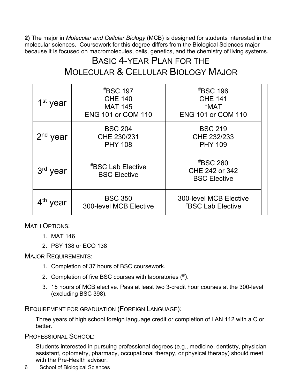**2)** The major in *Molecular and Cellular Biology* (MCB) is designed for students interested in the molecular sciences. Coursework for this degree differs from the Biological Sciences major because it is focused on macromolecules, cells, genetics, and the chemistry of living systems.

### BASIC 4-YEAR PLAN FOR THE MOLECULAR & CELLULAR BIOLOGY MAJOR

| 1 <sup>st</sup> year      | <i><b><i>*</i>BSC 197</b></i><br><b>CHE 140</b><br><b>MAT 145</b><br><b>ENG 101 or COM 110</b> | <b><i>#BSC 196</i></b><br><b>CHE 141</b><br>*MAT<br><b>ENG 101 or COM 110</b> |
|---------------------------|------------------------------------------------------------------------------------------------|-------------------------------------------------------------------------------|
| $2nd$ year                | <b>BSC 204</b><br>CHE 230/231<br><b>PHY 108</b>                                                | <b>BSC 219</b><br>CHE 232/233<br><b>PHY 109</b>                               |
| 3rd year                  | <i><b><i><b>ABSC Lab Elective</b></i></b></i><br><b>BSC Elective</b>                           | <i><b><i>*</i>BSC 260</b></i><br>CHE 242 or 342<br><b>BSC Elective</b>        |
| $4^{\mathsf{th}}$<br>year | <b>BSC 350</b><br><b>300-level MCB Elective</b>                                                | <b>300-level MCB Elective</b><br><b><i>#BSC Lab Elective</i></b>              |

MATH OPTIONS:

- 1. MAT 146
- 2. PSY 138 or ECO 138

MAJOR REQUIREMENTS:

- 1. Completion of 37 hours of BSC coursework.
- 2. Completion of five BSC courses with laboratories  $(^{\#})$ .
- 3. 15 hours of MCB elective. Pass at least two 3-credit hour courses at the 300-level (excluding BSC 398).

REQUIREMENT FOR GRADUATION (FOREIGN LANGUAGE):

Three years of high school foreign language credit or completion of LAN 112 with a C or better.

PROFESSIONAL SCHOOL:

Students interested in pursuing professional degrees (e.g., medicine, dentistry, physician assistant, optometry, pharmacy, occupational therapy, or physical therapy) should meet with the Pre-Health advisor

6 School of Biological Sciences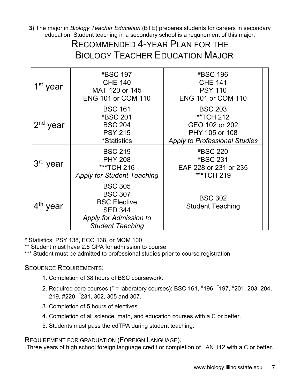**3)** The major in *Biology Teacher Education* (BTE) prepares students for careers in secondary education. Student teaching in a secondary school is a requirement of this major.

### RECOMMENDED 4-YEAR PLAN FOR THE BIOLOGY TEACHER EDUCATION MAJOR

| 1 <sup>st</sup> year | <i><b><i>*</i>BSC 197</b></i><br><b>CHE 140</b><br>MAT 120 or 145<br><b>ENG 101 or COM 110</b>                                        | <b><i>#BSC 196</i></b><br><b>CHE 141</b><br><b>PSY 110</b><br><b>ENG 101 or COM 110</b>                 |
|----------------------|---------------------------------------------------------------------------------------------------------------------------------------|---------------------------------------------------------------------------------------------------------|
| $2nd$ year           | <b>BSC 161</b><br><b><i>#BSC 201</i></b><br><b>BSC 204</b><br><b>PSY 215</b><br><i>*Statistics</i>                                    | <b>BSC 203</b><br>**TCH 212<br>GEO 102 or 202<br>PHY 105 or 108<br><b>Apply to Professional Studies</b> |
| 3rd year             | <b>BSC 219</b><br><b>PHY 208</b><br>***TCH 216<br><b>Apply for Student Teaching</b>                                                   | <b><i>#BSC 220</i></b><br><b><i>#BSC 231</i></b><br>EAF 228 or 231 or 235<br>***TCH 219                 |
| $4th$ year           | <b>BSC 305</b><br><b>BSC 307</b><br><b>BSC Elective</b><br><b>SED 344</b><br><b>Apply for Admission to</b><br><b>Student Teaching</b> | <b>BSC 302</b><br><b>Student Teaching</b>                                                               |

\* Statistics: PSY 138, ECO 138, or MQM 100

\*\* Student must have 2.5 GPA for admission to course

\*\*\* Student must be admitted to professional studies prior to course registration

#### SEQUENCE REQUIREMENTS:

- 1. Completion of 38 hours of BSC coursework.
- 2. Required core courses (# = laboratory courses): BSC 161, #196, # 197, #201, 203, 204, 219, #220, #231, 302, 305 and 307.
- 3. Completion of 5 hours of electives
- 4. Completion of all science, math, and education courses with a C or better.
- 5. Students must pass the edTPA during student teaching.

#### REQUIREMENT FOR GRADUATION (FOREIGN LANGUAGE):

Three years of high school foreign language credit or completion of LAN 112 with a C or better.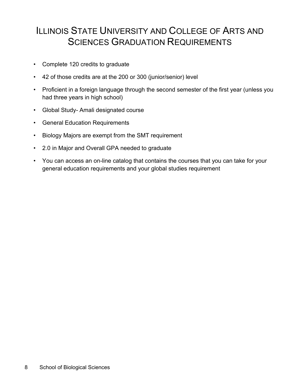### ILLINOIS STATE UNIVERSITY AND COLLEGE OF ARTS AND SCIENCES GRADUATION REQUIREMENTS

- Complete 120 credits to graduate
- 42 of those credits are at the 200 or 300 (junior/senior) level
- Proficient in a foreign language through the second semester of the first year (unless you had three years in high school)
- Global Study- Amali designated course
- General Education Requirements
- Biology Majors are exempt from the SMT requirement
- 2.0 in Major and Overall GPA needed to graduate
- You can access an on-line catalog that contains the courses that you can take for your general education requirements and your global studies requirement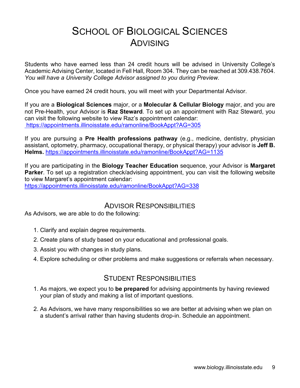### SCHOOL OF BIOLOGICAL SCIENCES ADVISING

Students who have earned less than 24 credit hours will be advised in University College's Academic Advising Center, located in Fell Hall, Room 304. They can be reached at 309.438.7604. *You will have a University College Advisor assigned to you during Preview.* 

Once you have earned 24 credit hours, you will meet with your Departmental Advisor.

If you are a **Biological Sciences** major, or a **Molecular & Cellular Biology** major, and you are not Pre-Health, your Advisor is **Raz Steward**. To set up an appointment with Raz Steward, you can visit the following website to view Raz's appointment calendar: https://appointments.illinoisstate.edu/ramonline/BookAppt?AG=305

If you are pursuing a **Pre Health professions pathway** (e.g., medicine, dentistry, physician assistant, optometry, pharmacy, occupational therapy, or physical therapy) your advisor is **Jeff B. Helms.** <https://appointments.illinoisstate.edu/ramonline/BookAppt?AG=1135>

If you are participating in the **Biology Teacher Education** sequence, your Advisor is **Margaret Parker**. To set up a registration check/advising appointment, you can visit the following website to view Margaret's appointment calendar: <https://appointments.illinoisstate.edu/ramonline/BookAppt?AG=338>

#### ADVISOR RESPONSIBILITIES

As Advisors, we are able to do the following:

- 1. Clarify and explain degree requirements.
- 2. Create plans of study based on your educational and professional goals.
- 3. Assist you with changes in study plans.
- 4. Explore scheduling or other problems and make suggestions or referrals when necessary.

#### STUDENT RESPONSIBILITIES

- 1. As majors, we expect you to **be prepared** for advising appointments by having reviewed your plan of study and making a list of important questions.
- 2. As Advisors, we have many responsibilities so we are better at advising when we plan on a student's arrival rather than having students drop-in. Schedule an appointment.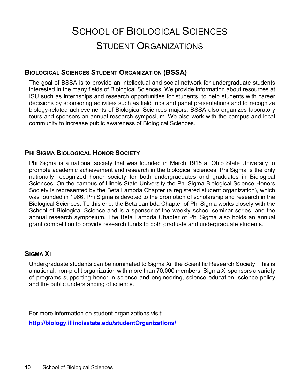# SCHOOL OF BIOLOGICAL SCIENCES STUDENT ORGANIZATIONS

#### **BIOLOGICAL SCIENCES STUDENT ORGANIZATION (BSSA)**

The goal of BSSA is to provide an intellectual and social network for undergraduate students interested in the many fields of Biological Sciences. We provide information about resources at ISU such as internships and research opportunities for students, to help students with career decisions by sponsoring activities such as field trips and panel presentations and to recognize biology-related achievements of Biological Sciences majors. BSSA also organizes laboratory tours and sponsors an annual research symposium. We also work with the campus and local community to increase public awareness of Biological Sciences.

#### **PHI SIGMA BIOLOGICAL HONOR SOCIETY**

Phi Sigma is a national society that was founded in March 1915 at Ohio State University to promote academic achievement and research in the biological sciences. Phi Sigma is the only nationally recognized honor society for both undergraduates and graduates in Biological Sciences. On the campus of Illinois State University the Phi Sigma Biological Science Honors Society is represented by the Beta Lambda Chapter (a registered student organization), which was founded in 1966. Phi Sigma is devoted to the promotion of scholarship and research in the Biological Sciences. To this end, the Beta Lambda Chapter of Phi Sigma works closely with the School of Biological Science and is a sponsor of the weekly school seminar series, and the annual research symposium. The Beta Lambda Chapter of Phi Sigma also holds an annual grant competition to provide research funds to both graduate and undergraduate students.

#### **SIGMA XI**

Undergraduate students can be nominated to Sigma Xi, the Scientific Research Society. This is a national, non-profit organization with more than 70,000 members. Sigma Xi sponsors a variety of programs supporting honor in science and engineering, science education, science policy and the public understanding of science.

For more information on student organizations visit: **<http://biology.illinoisstate.edu/studentOrganizations/>**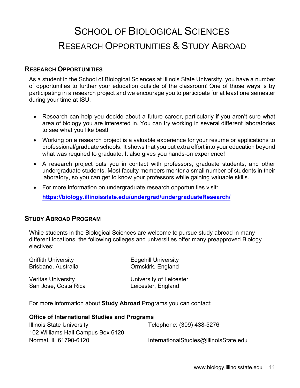## SCHOOL OF BIOLOGICAL SCIENCES RESEARCH OPPORTUNITIES & STUDY ABROAD

#### **RESEARCH OPPORTUNITIES**

As a student in the School of Biological Sciences at Illinois State University, you have a number of opportunities to further your education outside of the classroom! One of those ways is by participating in a research project and we encourage you to participate for at least one semester during your time at ISU.

- Research can help you decide about a future career, particularly if you aren't sure what area of biology you are interested in. You can try working in several different laboratories to see what you like best!
- Working on a research project is a valuable experience for your resume or applications to professional/graduate schools. It shows that you put extra effort into your education beyond what was required to graduate. It also gives you hands-on experience!
- A research project puts you in contact with professors, graduate students, and other undergraduate students. Most faculty members mentor a small number of students in their laboratory, so you can get to know your professors while gaining valuable skills.
- For more information on undergraduate research opportunities visit: **<https://biology.illinoisstate.edu/undergrad/undergraduateResearch/>**

#### **STUDY ABROAD PROGRAM**

While students in the Biological Sciences are welcome to pursue study abroad in many different locations, the following colleges and universities offer many preapproved Biology electives:

| <b>Griffith University</b>                                        | <b>Edgehill University</b> |
|-------------------------------------------------------------------|----------------------------|
| Brisbane, Australia                                               | Ormskirk, England          |
| <b>Veritas University</b>                                         | University of Leicester    |
| San Jose, Costa Rica                                              | Leicester, England         |
| For more information about Study Abroad Programs you can contact: |                            |

| <b>Office of International Studies and Programs</b> |                                        |  |
|-----------------------------------------------------|----------------------------------------|--|
| <b>Illinois State University</b>                    | Telephone: (309) 438-5276              |  |
| 102 Williams Hall Campus Box 6120                   |                                        |  |
| Normal, IL 61790-6120                               | InternationalStudies@IllinoisState.edu |  |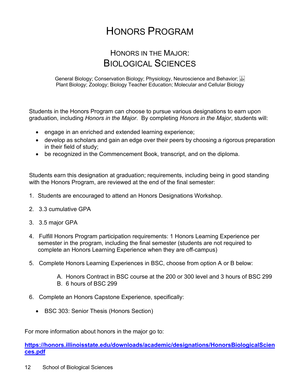## HONORS PROGRAM

### HONORS IN THE MAJOR: BIOLOGICAL SCIENCES

General Biology; Conservation Biology; Physiology, Neuroscience and Behavior; Plant Biology; Zoology; Biology Teacher Education; Molecular and Cellular Biology

Students in the Honors Program can choose to pursue various designations to earn upon graduation, including *Honors in the Major*. By completing *Honors in the Major*, students will:

- engage in an enriched and extended learning experience;
- develop as scholars and gain an edge over their peers by choosing a rigorous preparation in their field of study;
- be recognized in the Commencement Book, transcript, and on the diploma.

Students earn this designation at graduation; requirements, including being in good standing with the Honors Program, are reviewed at the end of the final semester:

- 1. Students are encouraged to attend an Honors Designations Workshop.
- 2. 3.3 cumulative GPA
- 3. 3.5 major GPA
- 4. Fulfill Honors Program participation requirements: 1 Honors Learning Experience per semester in the program, including the final semester (students are not required to complete an Honors Learning Experience when they are off-campus)
- 5. Complete Honors Learning Experiences in BSC, choose from option A or B below:
	- A. Honors Contract in BSC course at the 200 or 300 level and 3 hours of BSC 299 B. 6 hours of BSC 299
- 6. Complete an Honors Capstone Experience, specifically:
	- BSC 303: Senior Thesis (Honors Section)

For more information about honors in the major go to:

**[https://honors.illinoisstate.edu/downloads/academic/designations/HonorsBiologicalScien](https://honors.illinoisstate.edu/downloads/academic/designations/HonorsBiologicalSciences.pdf) [ces.pdf](https://honors.illinoisstate.edu/downloads/academic/designations/HonorsBiologicalSciences.pdf)**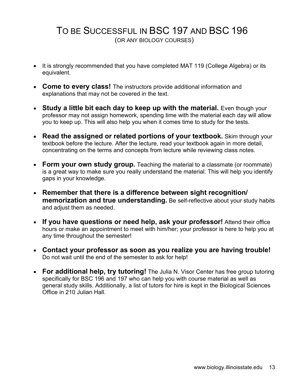### TO BE SUCCESSFUL IN BSC 197 AND BSC 196 (OR ANY BIOLOGY COURSES)

- It is strongly recommended that you have completed MAT 119 (College Algebra) or its equivalent.
- **Come to every class!** The instructors provide additional information and explanations that may not be covered in the text.
- Study a little bit each day to keep up with the material. Even though your professor may not assign homework, spending time with the material each day will allow you to keep up. This will also help you when it comes time to study for the tests.
- **Read the assigned or related portions of your textbook.** Skim through your textbook before the lecture. After the lecture, read your textbook again in more detail, concentrating on the terms and concepts from lecture while reviewing class notes.
- **Form your own study group.** Teaching the material to a classmate (or roommate) is a great way to make sure you really understand the material. This will help you identify gaps in your knowledge.
- **Remember that there is a difference between sight recognition/ memorization and true understanding.** Be self-reflective about your study habits and adjust them as needed.
- **If you have questions or need help, ask your professor!** Attend their office hours or make an appointment to meet with him/her; your professor is here to help you at any time throughout the semester!
- **Contact your professor as soon as you realize you are having trouble!** Do not wait until the end of the semester to ask for help!
- **For additional help, try tutoring!** The Julia N. Visor Center has free group tutoring specifically for BSC 196 and 197 who can help you with course material as well as general study skills. Additionally, a list of tutors for hire is kept in the Biological Sciences Office in 210 Julian Hall.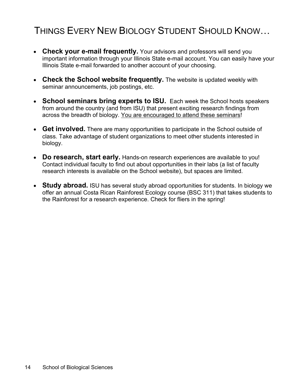### THINGS EVERY NEW BIOLOGY STUDENT SHOULD KNOW…

- **Check your e-mail frequently.** Your advisors and professors will send you important information through your Illinois State e-mail account. You can easily have your Illinois State e-mail forwarded to another account of your choosing.
- **Check the School website frequently.** The website is updated weekly with seminar announcements, job postings, etc.
- **School seminars bring experts to ISU.** Each week the School hosts speakers from around the country (and from ISU) that present exciting research findings from across the breadth of biology. You are encouraged to attend these seminars!
- **Get involved.** There are many opportunities to participate in the School outside of class. Take advantage of student organizations to meet other students interested in biology.
- **Do research, start early.** Hands-on research experiences are available to you! Contact individual faculty to find out about opportunities in their labs (a list of faculty research interests is available on the School website), but spaces are limited.
- **Study abroad.** ISU has several study abroad opportunities for students. In biology we offer an annual Costa Rican Rainforest Ecology course (BSC 311) that takes students to the Rainforest for a research experience. Check for fliers in the spring!